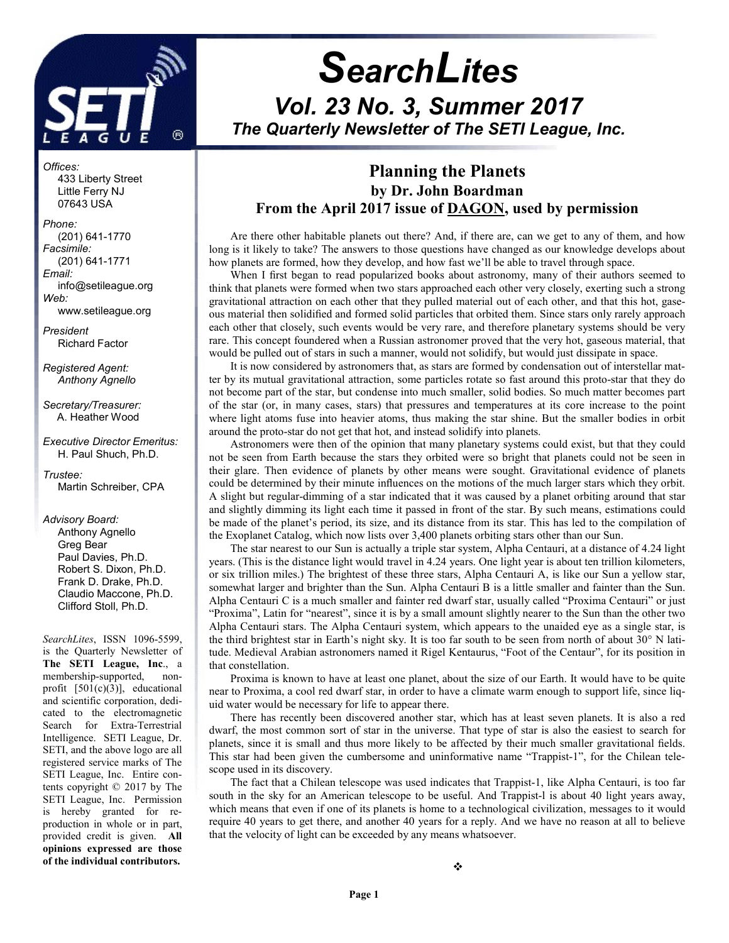

j

# **SearchLites** Vol. 23 No. 3, Summer 2017 The Quarterly Newsletter of The SETI League, Inc.

### Planning the Planets by Dr. John Boardman From the April 2017 issue of DAGON, used by permission

Are there other habitable planets out there? And, if there are, can we get to any of them, and how long is it likely to take? The answers to those questions have changed as our knowledge develops about how planets are formed, how they develop, and how fast we'll be able to travel through space.

When I first began to read popularized books about astronomy, many of their authors seemed to think that planets were formed when two stars approached each other very closely, exerting such a strong gravitational attraction on each other that they pulled material out of each other, and that this hot, gaseous material then solidified and formed solid particles that orbited them. Since stars only rarely approach each other that closely, such events would be very rare, and therefore planetary systems should be very rare. This concept foundered when a Russian astronomer proved that the very hot, gaseous material, that would be pulled out of stars in such a manner, would not solidify, but would just dissipate in space.

It is now considered by astronomers that, as stars are formed by condensation out of interstellar matter by its mutual gravitational attraction, some particles rotate so fast around this proto-star that they do not become part of the star, but condense into much smaller, solid bodies. So much matter becomes part of the star (or, in many cases, stars) that pressures and temperatures at its core increase to the point where light atoms fuse into heavier atoms, thus making the star shine. But the smaller bodies in orbit around the proto-star do not get that hot, and instead solidify into planets.

Astronomers were then of the opinion that many planetary systems could exist, but that they could not be seen from Earth because the stars they orbited were so bright that planets could not be seen in their glare. Then evidence of planets by other means were sought. Gravitational evidence of planets could be determined by their minute influences on the motions of the much larger stars which they orbit. A slight but regular-dimming of a star indicated that it was caused by a planet orbiting around that star and slightly dimming its light each time it passed in front of the star. By such means, estimations could be made of the planet's period, its size, and its distance from its star. This has led to the compilation of the Exoplanet Catalog, which now lists over 3,400 planets orbiting stars other than our Sun.

The star nearest to our Sun is actually a triple star system, Alpha Centauri, at a distance of 4.24 light years. (This is the distance light would travel in 4.24 years. One light year is about ten trillion kilometers, or six trillion miles.) The brightest of these three stars, Alpha Centauri A, is like our Sun a yellow star, somewhat larger and brighter than the Sun. Alpha Centauri B is a little smaller and fainter than the Sun. Alpha Centauri C is a much smaller and fainter red dwarf star, usually called "Proxima Centauri" or just "Proxima", Latin for "nearest", since it is by a small amount slightly nearer to the Sun than the other two Alpha Centauri stars. The Alpha Centauri system, which appears to the unaided eye as a single star, is the third brightest star in Earth's night sky. It is too far south to be seen from north of about 30° N latitude. Medieval Arabian astronomers named it Rigel Kentaurus, "Foot of the Centaur", for its position in that constellation.

Proxima is known to have at least one planet, about the size of our Earth. It would have to be quite near to Proxima, a cool red dwarf star, in order to have a climate warm enough to support life, since liquid water would be necessary for life to appear there.

There has recently been discovered another star, which has at least seven planets. It is also a red dwarf, the most common sort of star in the universe. That type of star is also the easiest to search for planets, since it is small and thus more likely to be affected by their much smaller gravitational fields. This star had been given the cumbersome and uninformative name "Trappist-1", for the Chilean telescope used in its discovery.

The fact that a Chilean telescope was used indicates that Trappist-1, like Alpha Centauri, is too far south in the sky for an American telescope to be useful. And Trappist-l is about 40 light years away, which means that even if one of its planets is home to a technological civilization, messages to it would require 40 years to get there, and another 40 years for a reply. And we have no reason at all to believe that the velocity of light can be exceeded by any means whatsoever.

 Little Ferry NJ 07643 USA Phone: (201) 641-1770 Facsimile: (201) 641-1771 Email:

433 Liberty Street

Offices:

 info@setileague.org Web: www.setileague.org

President Richard Factor

Registered Agent: Anthony Agnello

Secretary/Treasurer: A. Heather Wood

Executive Director Emeritus: H. Paul Shuch, Ph.D.

Trustee: Martin Schreiber, CPA

#### Advisory Board:

 Anthony Agnello Greg Bear Paul Davies, Ph.D. Robert S. Dixon, Ph.D. Frank D. Drake, Ph.D. Claudio Maccone, Ph.D. Clifford Stoll, Ph.D.

SearchLites, ISSN 1096-5599, is the Quarterly Newsletter of The SETI League, Inc., a membership-supported, nonprofit [501(c)(3)], educational and scientific corporation, dedicated to the electromagnetic Search for Extra-Terrestrial Intelligence. SETI League, Dr. SETI, and the above logo are all registered service marks of The SETI League, Inc. Entire contents copyright © 2017 by The SETI League, Inc. Permission is hereby granted for reproduction in whole or in part, provided credit is given. All opinions expressed are those of the individual contributors.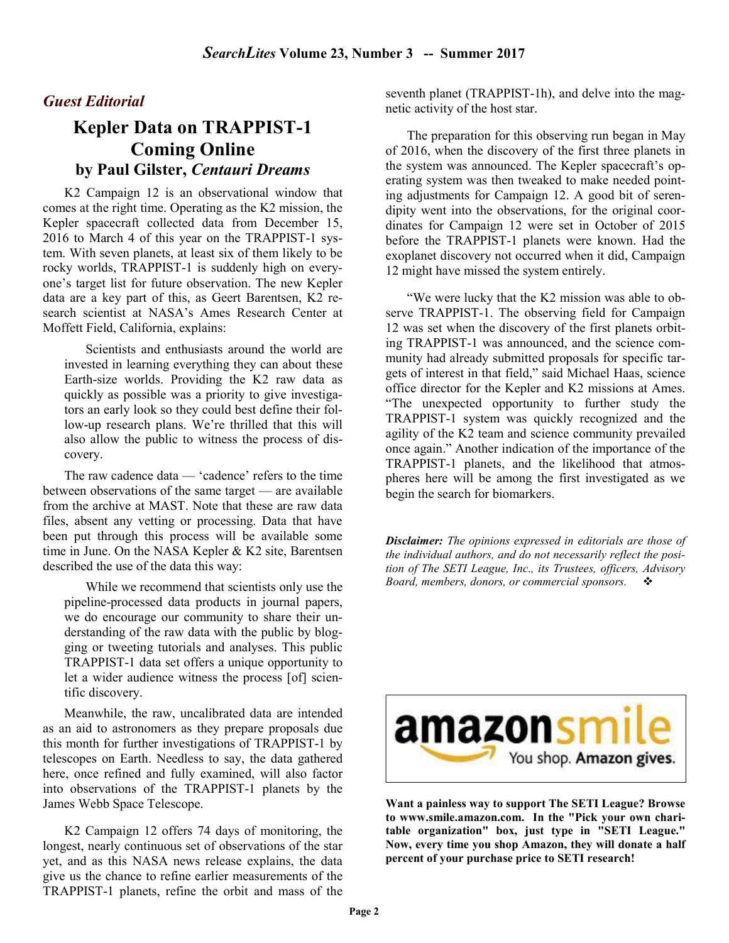#### Guest Editorial

## Kepler Data on TRAPPIST-1 Coming Online by Paul Gilster, Centauri Dreams

K2 Campaign 12 is an observational window that comes at the right time. Operating as the K2 mission, the Kepler spacecraft collected data from December 15, 2016 to March 4 of this year on the TRAPPIST-1 system. With seven planets, at least six of them likely to be rocky worlds, TRAPPIST-1 is suddenly high on everyone's target list for future observation. The new Kepler data are a key part of this, as Geert Barentsen, K2 research scientist at NASA's Ames Research Center at Moffett Field, California, explains:

Scientists and enthusiasts around the world are invested in learning everything they can about these Earth-size worlds. Providing the K2 raw data as quickly as possible was a priority to give investigators an early look so they could best define their follow-up research plans. We're thrilled that this will also allow the public to witness the process of discovery.

The raw cadence data — 'cadence' refers to the time between observations of the same target — are available from the archive at MAST. Note that these are raw data files, absent any vetting or processing. Data that have been put through this process will be available some time in June. On the NASA Kepler & K2 site, Barentsen described the use of the data this way:

While we recommend that scientists only use the pipeline-processed data products in journal papers, we do encourage our community to share their understanding of the raw data with the public by blogging or tweeting tutorials and analyses. This public TRAPPIST-1 data set offers a unique opportunity to let a wider audience witness the process [of] scientific discovery.

Meanwhile, the raw, uncalibrated data are intended as an aid to astronomers as they prepare proposals due this month for further investigations of TRAPPIST-1 by telescopes on Earth. Needless to say, the data gathered here, once refined and fully examined, will also factor into observations of the TRAPPIST-1 planets by the James Webb Space Telescope.

K2 Campaign 12 offers 74 days of monitoring, the longest, nearly continuous set of observations of the star yet, and as this NASA news release explains, the data give us the chance to refine earlier measurements of the TRAPPIST-1 planets, refine the orbit and mass of the seventh planet (TRAPPIST-1h), and delve into the magnetic activity of the host star.

The preparation for this observing run began in May of 2016, when the discovery of the first three planets in the system was announced. The Kepler spacecraft's operating system was then tweaked to make needed pointing adjustments for Campaign 12. A good bit of serendipity went into the observations, for the original coordinates for Campaign 12 were set in October of 2015 before the TRAPPIST-1 planets were known. Had the exoplanet discovery not occurred when it did, Campaign 12 might have missed the system entirely.

"We were lucky that the K2 mission was able to observe TRAPPIST-1. The observing field for Campaign 12 was set when the discovery of the first planets orbiting TRAPPIST-1 was announced, and the science community had already submitted proposals for specific targets of interest in that field," said Michael Haas, science office director for the Kepler and K2 missions at Ames. "The unexpected opportunity to further study the TRAPPIST-1 system was quickly recognized and the agility of the K2 team and science community prevailed once again." Another indication of the importance of the TRAPPIST-1 planets, and the likelihood that atmospheres here will be among the first investigated as we begin the search for biomarkers.

**Disclaimer:** The opinions expressed in editorials are those of the individual authors, and do not necessarily reflect the position of The SETI League, Inc., its Trustees, officers, Advisory Board, members, donors, or commercial sponsors.  $\cdot \cdot \cdot$ 



Want a painless way to support The SETI League? Browse to www.smile.amazon.com. In the "Pick your own charitable organization" box, just type in "SETI League." Now, every time you shop Amazon, they will donate a half percent of your purchase price to SETI research!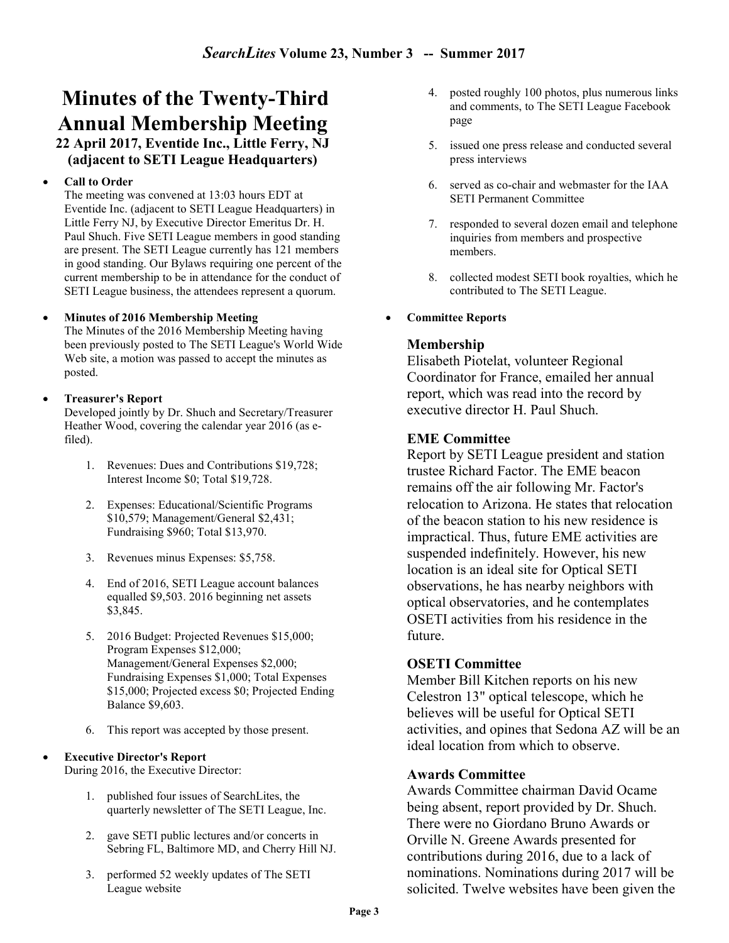## Minutes of the Twenty-Third Annual Membership Meeting

22 April 2017, Eventide Inc., Little Ferry, NJ (adjacent to SETI League Headquarters)

#### Call to Order

The meeting was convened at 13:03 hours EDT at Eventide Inc. (adjacent to SETI League Headquarters) in Little Ferry NJ, by Executive Director Emeritus Dr. H. Paul Shuch. Five SETI League members in good standing are present. The SETI League currently has 121 members in good standing. Our Bylaws requiring one percent of the current membership to be in attendance for the conduct of SETI League business, the attendees represent a quorum.

#### Minutes of 2016 Membership Meeting

The Minutes of the 2016 Membership Meeting having been previously posted to The SETI League's World Wide Web site, a motion was passed to accept the minutes as posted.

#### Treasurer's Report

Developed jointly by Dr. Shuch and Secretary/Treasurer Heather Wood, covering the calendar year 2016 (as efiled).

- 1. Revenues: Dues and Contributions \$19,728; Interest Income \$0; Total \$19,728.
- 2. Expenses: Educational/Scientific Programs \$10,579; Management/General \$2,431; Fundraising \$960; Total \$13,970.
- 3. Revenues minus Expenses: \$5,758.
- 4. End of 2016, SETI League account balances equalled \$9,503. 2016 beginning net assets \$3,845.
- 5. 2016 Budget: Projected Revenues \$15,000; Program Expenses \$12,000; Management/General Expenses \$2,000; Fundraising Expenses \$1,000; Total Expenses \$15,000; Projected excess \$0; Projected Ending Balance \$9,603.
- 6. This report was accepted by those present.

#### Executive Director's Report

During 2016, the Executive Director:

- 1. published four issues of SearchLites, the quarterly newsletter of The SETI League, Inc.
- 2. gave SETI public lectures and/or concerts in Sebring FL, Baltimore MD, and Cherry Hill NJ.
- 3. performed 52 weekly updates of The SETI League website
- 4. posted roughly 100 photos, plus numerous links and comments, to The SETI League Facebook page
- 5. issued one press release and conducted several press interviews
- 6. served as co-chair and webmaster for the IAA SETI Permanent Committee
- 7. responded to several dozen email and telephone inquiries from members and prospective members.
- 8. collected modest SETI book royalties, which he contributed to The SETI League.
- Committee Reports

#### Membership

Elisabeth Piotelat, volunteer Regional Coordinator for France, emailed her annual report, which was read into the record by executive director H. Paul Shuch.

#### EME Committee

Report by SETI League president and station trustee Richard Factor. The EME beacon remains off the air following Mr. Factor's relocation to Arizona. He states that relocation of the beacon station to his new residence is impractical. Thus, future EME activities are suspended indefinitely. However, his new location is an ideal site for Optical SETI observations, he has nearby neighbors with optical observatories, and he contemplates OSETI activities from his residence in the future.

#### OSETI Committee

Member Bill Kitchen reports on his new Celestron 13" optical telescope, which he believes will be useful for Optical SETI activities, and opines that Sedona AZ will be an ideal location from which to observe.

#### Awards Committee

Awards Committee chairman David Ocame being absent, report provided by Dr. Shuch. There were no Giordano Bruno Awards or Orville N. Greene Awards presented for contributions during 2016, due to a lack of nominations. Nominations during 2017 will be solicited. Twelve websites have been given the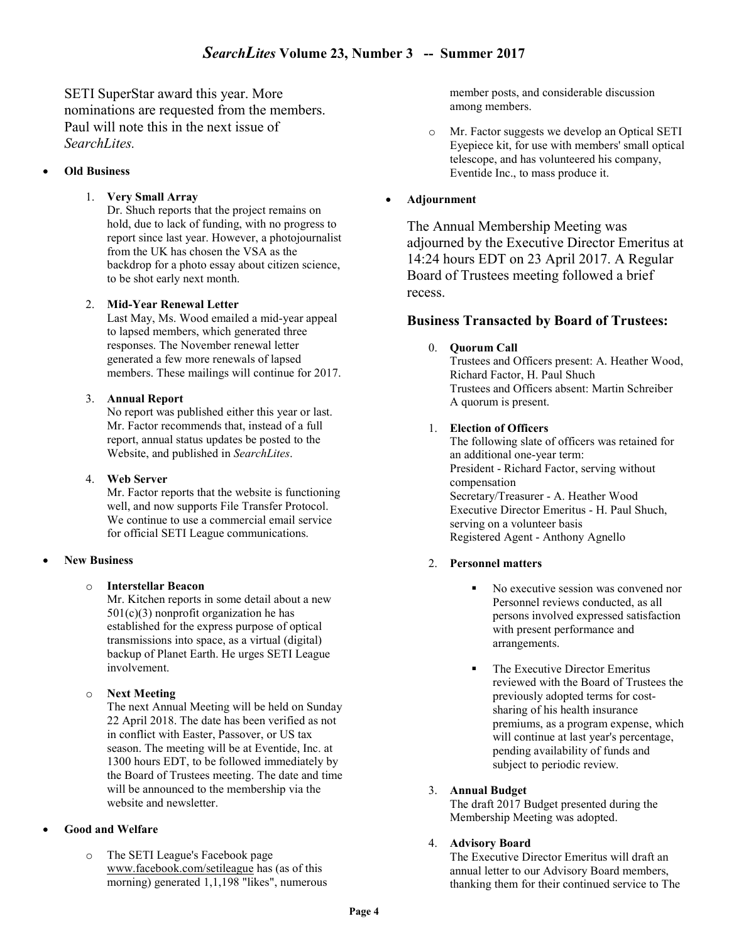SETI SuperStar award this year. More nominations are requested from the members. Paul will note this in the next issue of SearchLites.

#### Old Business

#### 1. Very Small Array

Dr. Shuch reports that the project remains on hold, due to lack of funding, with no progress to report since last year. However, a photojournalist from the UK has chosen the VSA as the backdrop for a photo essay about citizen science, to be shot early next month.

#### 2. Mid-Year Renewal Letter

Last May, Ms. Wood emailed a mid-year appeal to lapsed members, which generated three responses. The November renewal letter generated a few more renewals of lapsed members. These mailings will continue for 2017.

#### 3. Annual Report

No report was published either this year or last. Mr. Factor recommends that, instead of a full report, annual status updates be posted to the Website, and published in SearchLites.

#### 4. Web Server

Mr. Factor reports that the website is functioning well, and now supports File Transfer Protocol. We continue to use a commercial email service for official SETI League communications.

#### New Business

#### o Interstellar Beacon

Mr. Kitchen reports in some detail about a new  $501(c)(3)$  nonprofit organization he has established for the express purpose of optical transmissions into space, as a virtual (digital) backup of Planet Earth. He urges SETI League involvement.

#### o Next Meeting

The next Annual Meeting will be held on Sunday 22 April 2018. The date has been verified as not in conflict with Easter, Passover, or US tax season. The meeting will be at Eventide, Inc. at 1300 hours EDT, to be followed immediately by the Board of Trustees meeting. The date and time will be announced to the membership via the website and newsletter.

#### Good and Welfare

o The SETI League's Facebook page www.facebook.com/setileague has (as of this morning) generated 1,1,198 "likes", numerous

member posts, and considerable discussion among members.

o Mr. Factor suggests we develop an Optical SETI Eyepiece kit, for use with members' small optical telescope, and has volunteered his company, Eventide Inc., to mass produce it.

#### Adjournment

The Annual Membership Meeting was adjourned by the Executive Director Emeritus at 14:24 hours EDT on 23 April 2017. A Regular Board of Trustees meeting followed a brief recess.

#### Business Transacted by Board of Trustees:

#### 0. Quorum Call

Trustees and Officers present: A. Heather Wood, Richard Factor, H. Paul Shuch Trustees and Officers absent: Martin Schreiber A quorum is present.

#### 1. Election of Officers

The following slate of officers was retained for an additional one-year term: President - Richard Factor, serving without compensation Secretary/Treasurer - A. Heather Wood Executive Director Emeritus - H. Paul Shuch, serving on a volunteer basis Registered Agent - Anthony Agnello

#### 2. Personnel matters

- No executive session was convened nor Personnel reviews conducted, as all persons involved expressed satisfaction with present performance and arrangements.
- The Executive Director Emeritus reviewed with the Board of Trustees the previously adopted terms for costsharing of his health insurance premiums, as a program expense, which will continue at last year's percentage, pending availability of funds and subject to periodic review.

#### 3. Annual Budget

The draft 2017 Budget presented during the Membership Meeting was adopted.

#### 4. Advisory Board

The Executive Director Emeritus will draft an annual letter to our Advisory Board members, thanking them for their continued service to The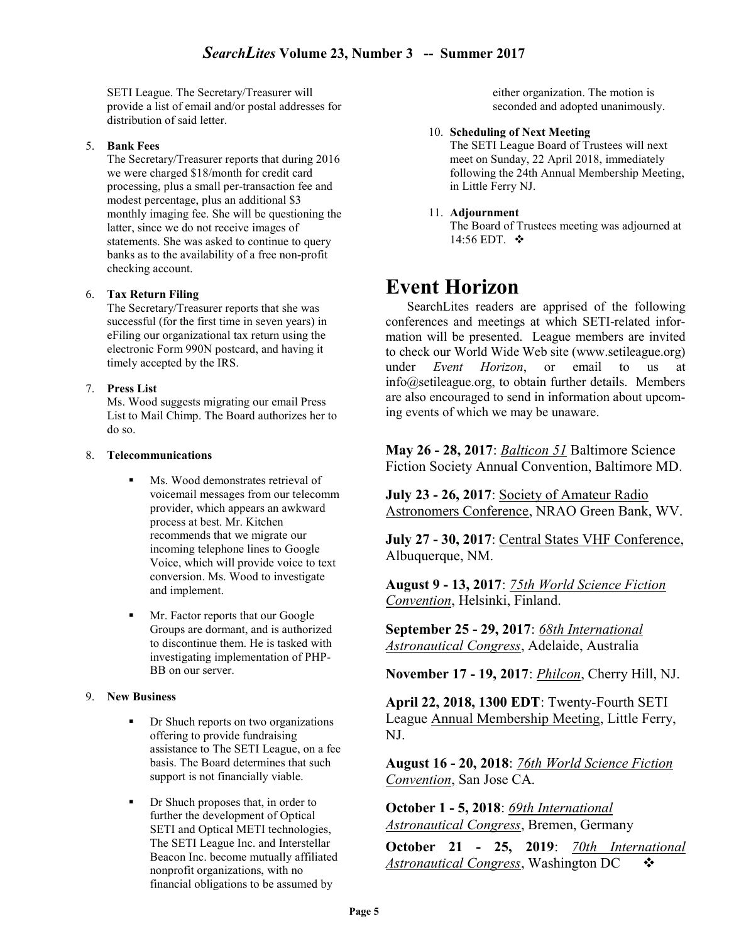SETI League. The Secretary/Treasurer will provide a list of email and/or postal addresses for distribution of said letter.

#### 5. Bank Fees

The Secretary/Treasurer reports that during 2016 we were charged \$18/month for credit card processing, plus a small per-transaction fee and modest percentage, plus an additional \$3 monthly imaging fee. She will be questioning the latter, since we do not receive images of statements. She was asked to continue to query banks as to the availability of a free non-profit checking account.

#### 6. Tax Return Filing

The Secretary/Treasurer reports that she was successful (for the first time in seven years) in eFiling our organizational tax return using the electronic Form 990N postcard, and having it timely accepted by the IRS.

#### 7. Press List

Ms. Wood suggests migrating our email Press List to Mail Chimp. The Board authorizes her to do so.

#### 8. Telecommunications

- Ms. Wood demonstrates retrieval of voicemail messages from our telecomm provider, which appears an awkward process at best. Mr. Kitchen recommends that we migrate our incoming telephone lines to Google Voice, which will provide voice to text conversion. Ms. Wood to investigate and implement.
- Mr. Factor reports that our Google Groups are dormant, and is authorized to discontinue them. He is tasked with investigating implementation of PHP-BB on our server.

#### 9. New Business

- **•** Dr Shuch reports on two organizations offering to provide fundraising assistance to The SETI League, on a fee basis. The Board determines that such support is not financially viable.
- **Dr** Shuch proposes that, in order to further the development of Optical SETI and Optical METI technologies, The SETI League Inc. and Interstellar Beacon Inc. become mutually affiliated nonprofit organizations, with no financial obligations to be assumed by

either organization. The motion is seconded and adopted unanimously.

#### 10. Scheduling of Next Meeting

The SETI League Board of Trustees will next meet on Sunday, 22 April 2018, immediately following the 24th Annual Membership Meeting, in Little Ferry NJ.

#### 11. Adjournment

The Board of Trustees meeting was adjourned at 14:56 EDT. ❖

## Event Horizon

SearchLites readers are apprised of the following conferences and meetings at which SETI-related information will be presented. League members are invited to check our World Wide Web site (www.setileague.org) under Event Horizon, or email to us at info@setileague.org, to obtain further details. Members are also encouraged to send in information about upcoming events of which we may be unaware.

May 26 - 28, 2017: Balticon 51 Baltimore Science Fiction Society Annual Convention, Baltimore MD.

July 23 - 26, 2017: Society of Amateur Radio Astronomers Conference, NRAO Green Bank, WV.

July 27 - 30, 2017: Central States VHF Conference, Albuquerque, NM.

August 9 - 13, 2017: 75th World Science Fiction Convention, Helsinki, Finland.

September 25 - 29, 2017: 68th International Astronautical Congress, Adelaide, Australia

November 17 - 19, 2017: *Philcon*, Cherry Hill, NJ.

April 22, 2018, 1300 EDT: Twenty-Fourth SETI League Annual Membership Meeting, Little Ferry, NJ.

August 16 - 20, 2018: 76th World Science Fiction Convention, San Jose CA.

October 1 - 5, 2018: 69th International **Astronautical Congress, Bremen, Germany** 

October 21 - 25, 2019: 70th International Astronautical Congress, Washington DC  $\cdot \cdot$